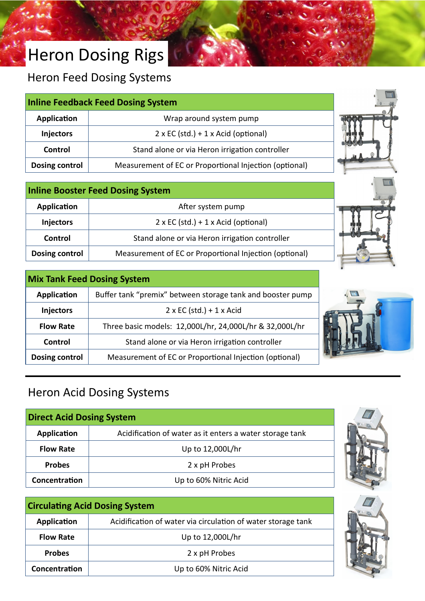# Heron Dosing Rigs

Heron Feed Dosing Systems

|                       | <b>Inline Feedback Feed Dosing System</b>              | <b>BALL</b> |
|-----------------------|--------------------------------------------------------|-------------|
| Application           | Wrap around system pump                                |             |
| Injectors             | $2 \times EC$ (std.) + 1 x Acid (optional)             |             |
| Control               | Stand alone or via Heron irrigation controller         |             |
| <b>Dosing control</b> | Measurement of EC or Proportional Injection (optional) |             |

| <b>Inline Booster Feed Dosing System</b> |                                                        |
|------------------------------------------|--------------------------------------------------------|
| Application                              | After system pump                                      |
| <b>Injectors</b>                         | $2 \times EC$ (std.) + 1 x Acid (optional)             |
| Control                                  | Stand alone or via Heron irrigation controller         |
| Dosing control                           | Measurement of EC or Proportional Injection (optional) |

| <b>Mix Tank Feed Dosing System</b> |                                                            |
|------------------------------------|------------------------------------------------------------|
| Application                        | Buffer tank "premix" between storage tank and booster pump |
| <b>Injectors</b>                   | $2 \times EC$ (std.) + 1 x Acid                            |
| <b>Flow Rate</b>                   | Three basic models: 12,000L/hr, 24,000L/hr & 32,000L/hr    |
| Control                            | Stand alone or via Heron irrigation controller             |
| Dosing control                     | Measurement of EC or Proportional Injection (optional)     |



### Heron Acid Dosing Systems

| <b>Direct Acid Dosing System</b> |                                                          |
|----------------------------------|----------------------------------------------------------|
| Application                      | Acidification of water as it enters a water storage tank |
| <b>Flow Rate</b>                 | Up to 12,000L/hr                                         |
| <b>Probes</b>                    | 2 x pH Probes                                            |
| Concentration                    | Up to 60% Nitric Acid                                    |

| <b>Circulating Acid Dosing System</b> |                                                              |
|---------------------------------------|--------------------------------------------------------------|
| Application                           | Acidification of water via circulation of water storage tank |
| <b>Flow Rate</b>                      | Up to 12,000L/hr                                             |
| <b>Probes</b>                         | 2 x pH Probes                                                |
| Concentration                         | Up to 60% Nitric Acid                                        |